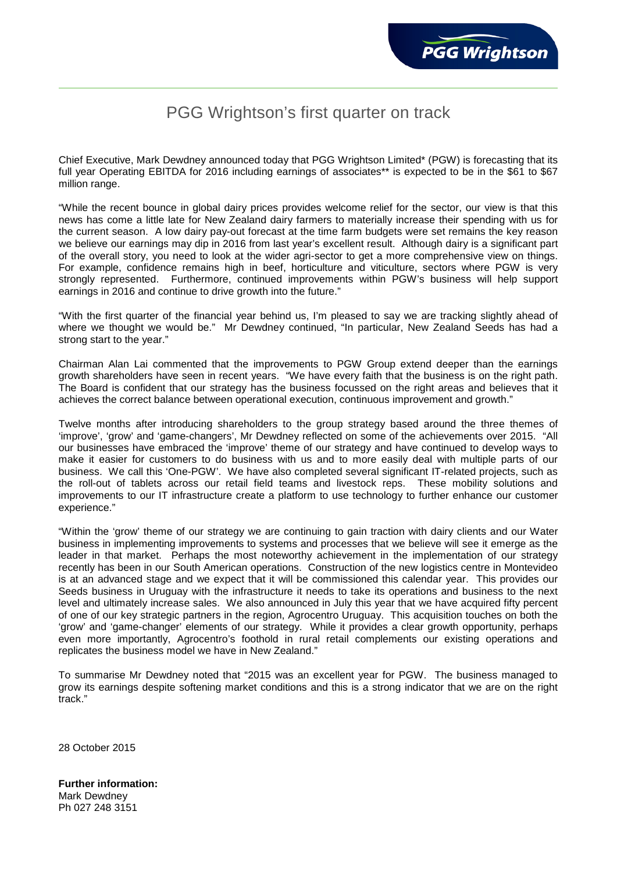## PGG Wrightson's first quarter on track

Chief Executive, Mark Dewdney announced today that PGG Wrightson Limited\* (PGW) is forecasting that its full year Operating EBITDA for 2016 including earnings of associates\*\* is expected to be in the \$61 to \$67 million range.

"While the recent bounce in global dairy prices provides welcome relief for the sector, our view is that this news has come a little late for New Zealand dairy farmers to materially increase their spending with us for the current season. A low dairy pay-out forecast at the time farm budgets were set remains the key reason we believe our earnings may dip in 2016 from last year's excellent result. Although dairy is a significant part of the overall story, you need to look at the wider agri-sector to get a more comprehensive view on things. For example, confidence remains high in beef, horticulture and viticulture, sectors where PGW is very strongly represented. Furthermore, continued improvements within PGW's business will help support earnings in 2016 and continue to drive growth into the future."

"With the first quarter of the financial year behind us, I'm pleased to say we are tracking slightly ahead of where we thought we would be." Mr Dewdney continued, "In particular, New Zealand Seeds has had a strong start to the year."

Chairman Alan Lai commented that the improvements to PGW Group extend deeper than the earnings growth shareholders have seen in recent years. "We have every faith that the business is on the right path. The Board is confident that our strategy has the business focussed on the right areas and believes that it achieves the correct balance between operational execution, continuous improvement and growth."

Twelve months after introducing shareholders to the group strategy based around the three themes of 'improve', 'grow' and 'game-changers', Mr Dewdney reflected on some of the achievements over 2015. "All our businesses have embraced the 'improve' theme of our strategy and have continued to develop ways to make it easier for customers to do business with us and to more easily deal with multiple parts of our business. We call this 'One-PGW'. We have also completed several significant IT-related projects, such as the roll-out of tablets across our retail field teams and livestock reps. These mobility solutions and improvements to our IT infrastructure create a platform to use technology to further enhance our customer experience."

"Within the 'grow' theme of our strategy we are continuing to gain traction with dairy clients and our Water business in implementing improvements to systems and processes that we believe will see it emerge as the leader in that market. Perhaps the most noteworthy achievement in the implementation of our strategy recently has been in our South American operations. Construction of the new logistics centre in Montevideo is at an advanced stage and we expect that it will be commissioned this calendar year. This provides our Seeds business in Uruguay with the infrastructure it needs to take its operations and business to the next level and ultimately increase sales. We also announced in July this year that we have acquired fifty percent of one of our key strategic partners in the region, Agrocentro Uruguay. This acquisition touches on both the 'grow' and 'game-changer' elements of our strategy. While it provides a clear growth opportunity, perhaps even more importantly, Agrocentro's foothold in rural retail complements our existing operations and replicates the business model we have in New Zealand."

To summarise Mr Dewdney noted that "2015 was an excellent year for PGW. The business managed to grow its earnings despite softening market conditions and this is a strong indicator that we are on the right track."

28 October 2015

**Further information:** Mark Dewdney Ph 027 248 3151